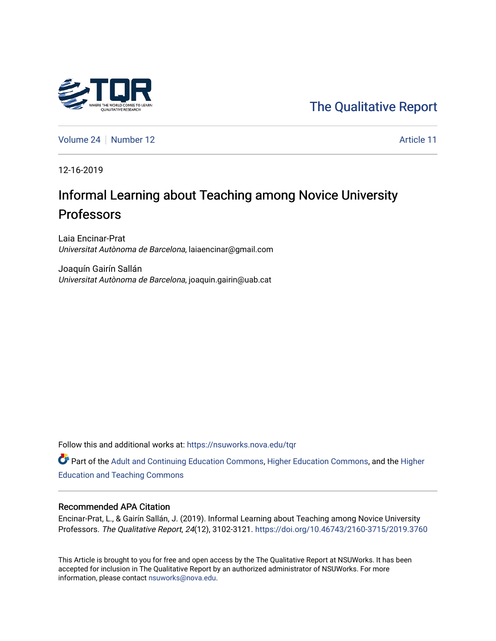

[The Qualitative Report](https://nsuworks.nova.edu/tqr) 

[Volume 24](https://nsuworks.nova.edu/tqr/vol24) [Number 12](https://nsuworks.nova.edu/tqr/vol24/iss12) Article 11

12-16-2019

# Informal Learning about Teaching among Novice University Professors

Laia Encinar-Prat Universitat Autònoma de Barcelona, laiaencinar@gmail.com

Joaquín Gairín Sallán Universitat Autònoma de Barcelona, joaquin.gairin@uab.cat

Follow this and additional works at: [https://nsuworks.nova.edu/tqr](https://nsuworks.nova.edu/tqr?utm_source=nsuworks.nova.edu%2Ftqr%2Fvol24%2Fiss12%2F11&utm_medium=PDF&utm_campaign=PDFCoverPages) 

Part of the [Adult and Continuing Education Commons,](http://network.bepress.com/hgg/discipline/1375?utm_source=nsuworks.nova.edu%2Ftqr%2Fvol24%2Fiss12%2F11&utm_medium=PDF&utm_campaign=PDFCoverPages) [Higher Education Commons,](http://network.bepress.com/hgg/discipline/1245?utm_source=nsuworks.nova.edu%2Ftqr%2Fvol24%2Fiss12%2F11&utm_medium=PDF&utm_campaign=PDFCoverPages) and the [Higher](http://network.bepress.com/hgg/discipline/806?utm_source=nsuworks.nova.edu%2Ftqr%2Fvol24%2Fiss12%2F11&utm_medium=PDF&utm_campaign=PDFCoverPages) [Education and Teaching Commons](http://network.bepress.com/hgg/discipline/806?utm_source=nsuworks.nova.edu%2Ftqr%2Fvol24%2Fiss12%2F11&utm_medium=PDF&utm_campaign=PDFCoverPages) 

#### Recommended APA Citation

Encinar-Prat, L., & Gairín Sallán, J. (2019). Informal Learning about Teaching among Novice University Professors. The Qualitative Report, 24(12), 3102-3121.<https://doi.org/10.46743/2160-3715/2019.3760>

This Article is brought to you for free and open access by the The Qualitative Report at NSUWorks. It has been accepted for inclusion in The Qualitative Report by an authorized administrator of NSUWorks. For more information, please contact [nsuworks@nova.edu.](mailto:nsuworks@nova.edu)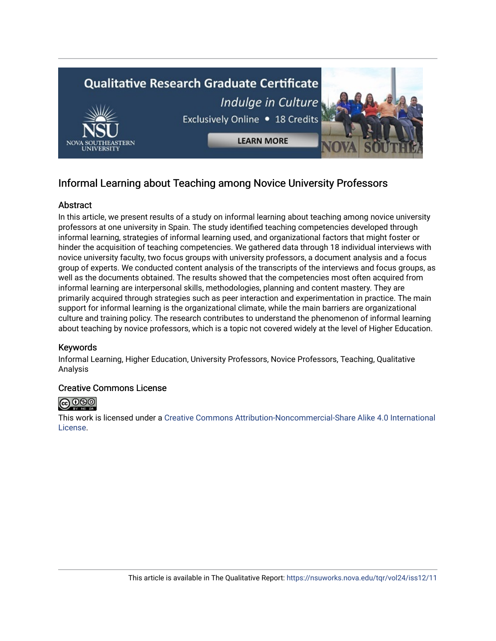

## Informal Learning about Teaching among Novice University Professors

## **Abstract**

In this article, we present results of a study on informal learning about teaching among novice university professors at one university in Spain. The study identified teaching competencies developed through informal learning, strategies of informal learning used, and organizational factors that might foster or hinder the acquisition of teaching competencies. We gathered data through 18 individual interviews with novice university faculty, two focus groups with university professors, a document analysis and a focus group of experts. We conducted content analysis of the transcripts of the interviews and focus groups, as well as the documents obtained. The results showed that the competencies most often acquired from informal learning are interpersonal skills, methodologies, planning and content mastery. They are primarily acquired through strategies such as peer interaction and experimentation in practice. The main support for informal learning is the organizational climate, while the main barriers are organizational culture and training policy. The research contributes to understand the phenomenon of informal learning about teaching by novice professors, which is a topic not covered widely at the level of Higher Education.

## Keywords

Informal Learning, Higher Education, University Professors, Novice Professors, Teaching, Qualitative Analysis

## Creative Commons License



This work is licensed under a [Creative Commons Attribution-Noncommercial-Share Alike 4.0 International](https://creativecommons.org/licenses/by-nc-sa/4.0/)  [License](https://creativecommons.org/licenses/by-nc-sa/4.0/).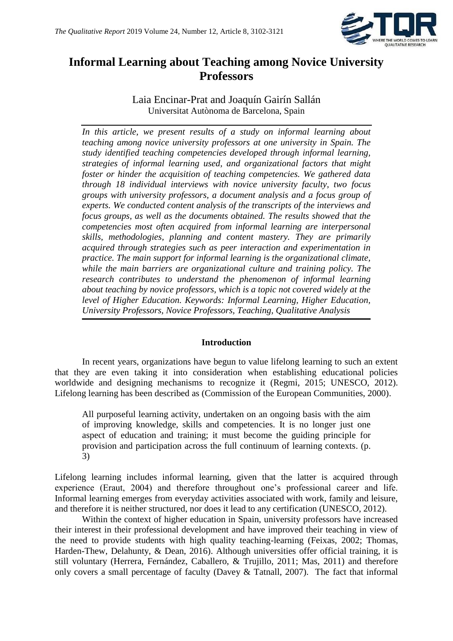

## **Informal Learning about Teaching among Novice University Professors**

Laia Encinar-Prat and Joaquín Gairín Sallán Universitat Autònoma de Barcelona, Spain

*In this article, we present results of a study on informal learning about teaching among novice university professors at one university in Spain. The study identified teaching competencies developed through informal learning, strategies of informal learning used, and organizational factors that might foster or hinder the acquisition of teaching competencies. We gathered data through 18 individual interviews with novice university faculty, two focus groups with university professors, a document analysis and a focus group of experts. We conducted content analysis of the transcripts of the interviews and focus groups, as well as the documents obtained. The results showed that the competencies most often acquired from informal learning are interpersonal skills, methodologies, planning and content mastery. They are primarily acquired through strategies such as peer interaction and experimentation in practice. The main support for informal learning is the organizational climate, while the main barriers are organizational culture and training policy. The research contributes to understand the phenomenon of informal learning about teaching by novice professors, which is a topic not covered widely at the level of Higher Education. Keywords: Informal Learning, Higher Education, University Professors, Novice Professors, Teaching, Qualitative Analysis*

## **Introduction**

In recent years, organizations have begun to value lifelong learning to such an extent that they are even taking it into consideration when establishing educational policies worldwide and designing mechanisms to recognize it (Regmi, 2015; UNESCO, 2012). Lifelong learning has been described as (Commission of the European Communities, 2000).

All purposeful learning activity, undertaken on an ongoing basis with the aim of improving knowledge, skills and competencies. It is no longer just one aspect of education and training; it must become the guiding principle for provision and participation across the full continuum of learning contexts. (p. 3)

Lifelong learning includes informal learning, given that the latter is acquired through experience (Eraut, 2004) and therefore throughout one's professional career and life. Informal learning emerges from everyday activities associated with work, family and leisure, and therefore it is neither structured, nor does it lead to any certification (UNESCO, 2012).

Within the context of higher education in Spain, university professors have increased their interest in their professional development and have improved their teaching in view of the need to provide students with high quality teaching-learning (Feixas, 2002; Thomas, Harden-Thew, Delahunty, & Dean, 2016). Although universities offer official training, it is still voluntary (Herrera, Fernández, Caballero, & Trujillo, 2011; Mas, 2011) and therefore only covers a small percentage of faculty (Davey & Tatnall, 2007). The fact that informal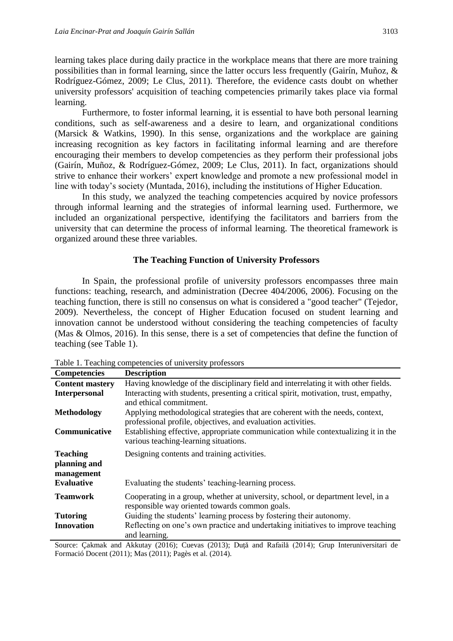learning takes place during daily practice in the workplace means that there are more training possibilities than in formal learning, since the latter occurs less frequently (Gairín, Muñoz, & Rodríguez-Gómez, 2009; Le Clus, 2011). Therefore, the evidence casts doubt on whether university professors' acquisition of teaching competencies primarily takes place via formal learning.

Furthermore, to foster informal learning, it is essential to have both personal learning conditions, such as self-awareness and a desire to learn, and organizational conditions (Marsick & Watkins, 1990). In this sense, organizations and the workplace are gaining increasing recognition as key factors in facilitating informal learning and are therefore encouraging their members to develop competencies as they perform their professional jobs (Gairín, Muñoz, & Rodríguez-Gómez, 2009; Le Clus, 2011). In fact, organizations should strive to enhance their workers' expert knowledge and promote a new professional model in line with today's society (Muntada, 2016), including the institutions of Higher Education.

In this study, we analyzed the teaching competencies acquired by novice professors through informal learning and the strategies of informal learning used. Furthermore, we included an organizational perspective, identifying the facilitators and barriers from the university that can determine the process of informal learning. The theoretical framework is organized around these three variables.

#### **The Teaching Function of University Professors**

In Spain, the professional profile of university professors encompasses three main functions: teaching, research, and administration (Decree 404/2006, 2006). Focusing on the teaching function, there is still no consensus on what is considered a "good teacher" (Tejedor, 2009). Nevertheless, the concept of Higher Education focused on student learning and innovation cannot be understood without considering the teaching competencies of faculty (Mas & Olmos, 2016). In this sense, there is a set of competencies that define the function of teaching (see Table 1).

| <b>Competencies</b>                           | <b>Description</b>                                                                                                                            |
|-----------------------------------------------|-----------------------------------------------------------------------------------------------------------------------------------------------|
| <b>Content mastery</b>                        | Having knowledge of the disciplinary field and interrelating it with other fields.                                                            |
| <b>Interpersonal</b>                          | Interacting with students, presenting a critical spirit, motivation, trust, empathy,<br>and ethical commitment.                               |
| <b>Methodology</b>                            | Applying methodological strategies that are coherent with the needs, context,<br>professional profile, objectives, and evaluation activities. |
| Communicative                                 | Establishing effective, appropriate communication while contextualizing it in the<br>various teaching-learning situations.                    |
| <b>Teaching</b><br>planning and<br>management | Designing contents and training activities.                                                                                                   |
| <b>Evaluative</b>                             | Evaluating the students' teaching-learning process.                                                                                           |
| Teamwork                                      | Cooperating in a group, whether at university, school, or department level, in a<br>responsible way oriented towards common goals.            |
| <b>Tutoring</b>                               | Guiding the students' learning process by fostering their autonomy.                                                                           |
| <b>Innovation</b>                             | Reflecting on one's own practice and undertaking initiatives to improve teaching<br>and learning.                                             |

Table 1. Teaching competencies of university professors

Source: Cakmak and Akkutay (2016); Cuevas (2013); Dută and Rafailă (2014); Grup Interuniversitari de Formació Docent (2011); Mas (2011); Pagès et al. (2014).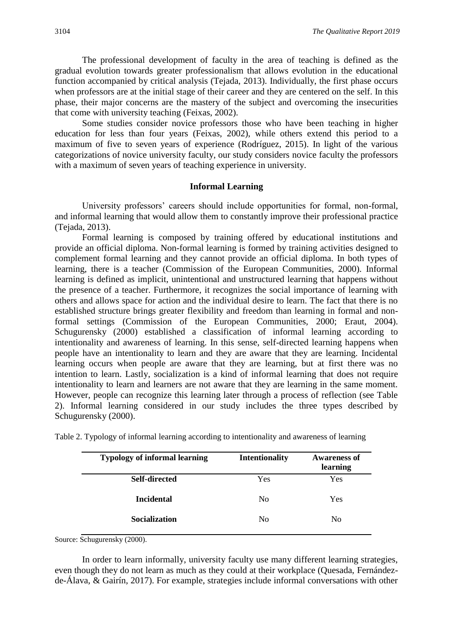The professional development of faculty in the area of teaching is defined as the gradual evolution towards greater professionalism that allows evolution in the educational function accompanied by critical analysis (Tejada, 2013). Individually, the first phase occurs when professors are at the initial stage of their career and they are centered on the self. In this phase, their major concerns are the mastery of the subject and overcoming the insecurities that come with university teaching (Feixas, 2002).

Some studies consider novice professors those who have been teaching in higher education for less than four years (Feixas, 2002), while others extend this period to a maximum of five to seven years of experience (Rodríguez, 2015). In light of the various categorizations of novice university faculty, our study considers novice faculty the professors with a maximum of seven years of teaching experience in university.

#### **Informal Learning**

University professors' careers should include opportunities for formal, non-formal, and informal learning that would allow them to constantly improve their professional practice (Tejada, 2013).

Formal learning is composed by training offered by educational institutions and provide an official diploma. Non-formal learning is formed by training activities designed to complement formal learning and they cannot provide an official diploma. In both types of learning, there is a teacher (Commission of the European Communities, 2000). Informal learning is defined as implicit, unintentional and unstructured learning that happens without the presence of a teacher. Furthermore, it recognizes the social importance of learning with others and allows space for action and the individual desire to learn. The fact that there is no established structure brings greater flexibility and freedom than learning in formal and nonformal settings (Commission of the European Communities, 2000; Eraut, 2004). Schugurensky (2000) established a classification of informal learning according to intentionality and awareness of learning. In this sense, self-directed learning happens when people have an intentionality to learn and they are aware that they are learning. Incidental learning occurs when people are aware that they are learning, but at first there was no intention to learn. Lastly, socialization is a kind of informal learning that does not require intentionality to learn and learners are not aware that they are learning in the same moment. However, people can recognize this learning later through a process of reflection (see Table 2). Informal learning considered in our study includes the three types described by Schugurensky (2000).

| <b>Intentionality</b> | <b>Awareness of</b><br>learning |
|-----------------------|---------------------------------|
| Yes                   | Yes                             |
| N <sub>0</sub>        | Yes                             |
| N <sub>0</sub>        | No                              |
|                       |                                 |

Table 2. Typology of informal learning according to intentionality and awareness of learning

Source: Schugurensky (2000).

In order to learn informally, university faculty use many different learning strategies, even though they do not learn as much as they could at their workplace (Quesada, Fernándezde-Álava, & Gairín, 2017). For example, strategies include informal conversations with other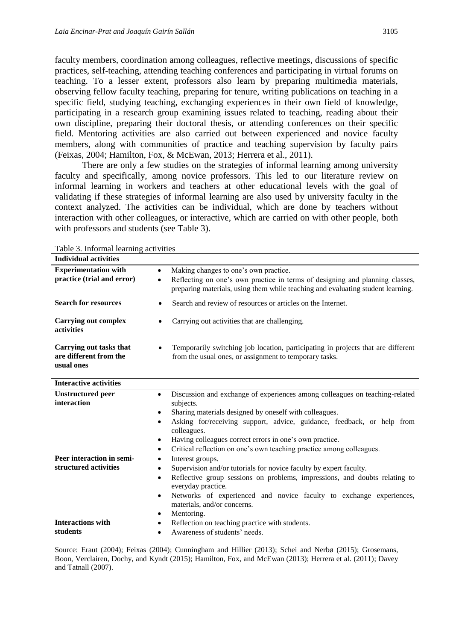faculty members, coordination among colleagues, reflective meetings, discussions of specific practices, self-teaching, attending teaching conferences and participating in virtual forums on teaching. To a lesser extent, professors also learn by preparing multimedia materials, observing fellow faculty teaching, preparing for tenure, writing publications on teaching in a specific field, studying teaching, exchanging experiences in their own field of knowledge, participating in a research group examining issues related to teaching, reading about their own discipline, preparing their doctoral thesis, or attending conferences on their specific field. Mentoring activities are also carried out between experienced and novice faculty members, along with communities of practice and teaching supervision by faculty pairs (Feixas, 2004; Hamilton, Fox, & McEwan, 2013; Herrera et al., 2011).

There are only a few studies on the strategies of informal learning among university faculty and specifically, among novice professors. This led to our literature review on informal learning in workers and teachers at other educational levels with the goal of validating if these strategies of informal learning are also used by university faculty in the context analyzed. The activities can be individual, which are done by teachers without interaction with other colleagues, or interactive, which are carried on with other people, both with professors and students (see Table 3).

| <b>Individual activities</b>                                    |                                                                                                                                                                              |
|-----------------------------------------------------------------|------------------------------------------------------------------------------------------------------------------------------------------------------------------------------|
| <b>Experimentation with</b>                                     | Making changes to one's own practice.<br>$\bullet$                                                                                                                           |
| practice (trial and error)                                      | Reflecting on one's own practice in terms of designing and planning classes,<br>$\bullet$<br>preparing materials, using them while teaching and evaluating student learning. |
| <b>Search for resources</b>                                     | Search and review of resources or articles on the Internet.<br>٠                                                                                                             |
| <b>Carrying out complex</b><br>activities                       | Carrying out activities that are challenging.<br>$\bullet$                                                                                                                   |
| Carrying out tasks that<br>are different from the<br>usual ones | Temporarily switching job location, participating in projects that are different<br>from the usual ones, or assignment to temporary tasks.                                   |
| <b>Interactive activities</b>                                   |                                                                                                                                                                              |
| <b>Unstructured</b> peer                                        | Discussion and exchange of experiences among colleagues on teaching-related<br>$\bullet$                                                                                     |
| interaction                                                     | subjects.                                                                                                                                                                    |
|                                                                 | Sharing materials designed by oneself with colleagues.<br>$\bullet$                                                                                                          |
|                                                                 | Asking for/receiving support, advice, guidance, feedback, or help from<br>٠<br>colleagues.                                                                                   |
|                                                                 | Having colleagues correct errors in one's own practice.<br>٠                                                                                                                 |
|                                                                 | Critical reflection on one's own teaching practice among colleagues.<br>٠                                                                                                    |
| Peer interaction in semi-                                       | Interest groups.<br>$\bullet$                                                                                                                                                |
| structured activities                                           | Supervision and/or tutorials for novice faculty by expert faculty.<br>$\bullet$                                                                                              |
|                                                                 | Reflective group sessions on problems, impressions, and doubts relating to<br>$\bullet$<br>everyday practice.                                                                |
|                                                                 | Networks of experienced and novice faculty to exchange experiences,<br>$\bullet$<br>materials, and/or concerns.                                                              |
|                                                                 | Mentoring.<br>٠                                                                                                                                                              |
| <b>Interactions with</b>                                        | Reflection on teaching practice with students.<br>٠                                                                                                                          |
| students                                                        | Awareness of students' needs.<br>$\bullet$                                                                                                                                   |

Table 3. Informal learning activities

Source: Eraut (2004); Feixas (2004); Cunningham and Hillier (2013); Schei and Nerbø (2015); Grosemans, Boon, Verclairen, Dochy, and Kyndt (2015); Hamilton, Fox, and McEwan (2013); Herrera et al. (2011); Davey and Tatnall (2007).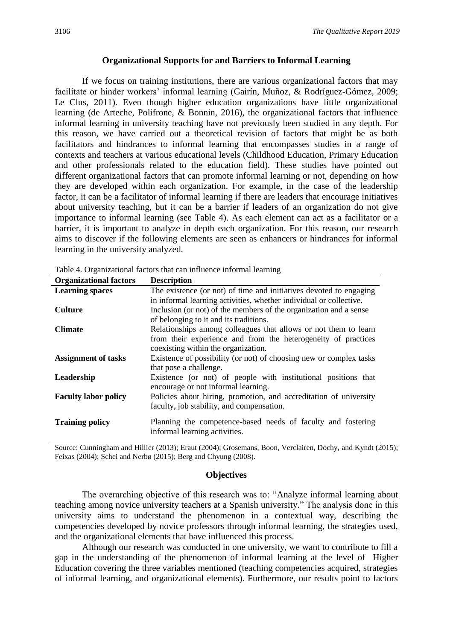## **Organizational Supports for and Barriers to Informal Learning**

If we focus on training institutions, there are various organizational factors that may facilitate or hinder workers' informal learning (Gairín, Muñoz, & Rodríguez-Gómez, 2009; Le Clus, 2011). Even though higher education organizations have little organizational learning (de Arteche, Polifrone, & Bonnin, 2016), the organizational factors that influence informal learning in university teaching have not previously been studied in any depth. For this reason, we have carried out a theoretical revision of factors that might be as both facilitators and hindrances to informal learning that encompasses studies in a range of contexts and teachers at various educational levels (Childhood Education, Primary Education and other professionals related to the education field). These studies have pointed out different organizational factors that can promote informal learning or not, depending on how they are developed within each organization. For example, in the case of the leadership factor, it can be a facilitator of informal learning if there are leaders that encourage initiatives about university teaching, but it can be a barrier if leaders of an organization do not give importance to informal learning (see Table 4). As each element can act as a facilitator or a barrier, it is important to analyze in depth each organization. For this reason, our research aims to discover if the following elements are seen as enhancers or hindrances for informal learning in the university analyzed.

| <b>Organizational factors</b> | <b>Description</b>                                                                            |
|-------------------------------|-----------------------------------------------------------------------------------------------|
| <b>Learning spaces</b>        | The existence (or not) of time and initiatives devoted to engaging                            |
|                               | in informal learning activities, whether individual or collective.                            |
| <b>Culture</b>                | Inclusion (or not) of the members of the organization and a sense                             |
|                               | of belonging to it and its traditions.                                                        |
| <b>Climate</b>                | Relationships among colleagues that allows or not them to learn                               |
|                               | from their experience and from the heterogeneity of practices                                 |
|                               | coexisting within the organization.                                                           |
| <b>Assignment of tasks</b>    | Existence of possibility (or not) of choosing new or complex tasks                            |
|                               | that pose a challenge.                                                                        |
| Leadership                    | Existence (or not) of people with institutional positions that                                |
|                               | encourage or not informal learning.                                                           |
| <b>Faculty labor policy</b>   | Policies about hiring, promotion, and accreditation of university                             |
|                               | faculty, job stability, and compensation.                                                     |
| <b>Training policy</b>        | Planning the competence-based needs of faculty and fostering<br>informal learning activities. |
|                               |                                                                                               |

Table 4. Organizational factors that can influence informal learning

Source: Cunningham and Hillier (2013); Eraut (2004); Grosemans, Boon, Verclairen, Dochy, and Kyndt (2015); Feixas (2004); Schei and Nerbø (2015); Berg and Chyung (2008).

#### **Objectives**

The overarching objective of this research was to: "Analyze informal learning about teaching among novice university teachers at a Spanish university." The analysis done in this university aims to understand the phenomenon in a contextual way, describing the competencies developed by novice professors through informal learning, the strategies used, and the organizational elements that have influenced this process.

Although our research was conducted in one university, we want to contribute to fill a gap in the understanding of the phenomenon of informal learning at the level of Higher Education covering the three variables mentioned (teaching competencies acquired, strategies of informal learning, and organizational elements). Furthermore, our results point to factors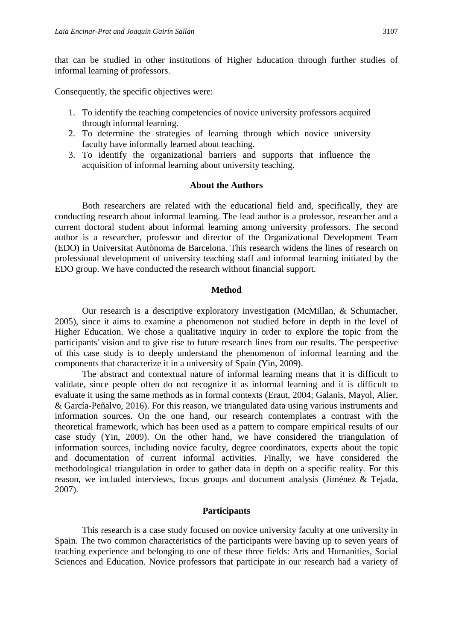that can be studied in other institutions of Higher Education through further studies of informal learning of professors.

Consequently, the specific objectives were:

- 1. To identify the teaching competencies of novice university professors acquired through informal learning.
- 2. To determine the strategies of learning through which novice university faculty have informally learned about teaching.
- 3. To identify the organizational barriers and supports that influence the acquisition of informal learning about university teaching.

#### **About the Authors**

Both researchers are related with the educational field and, specifically, they are conducting research about informal learning. The lead author is a professor, researcher and a current doctoral student about informal learning among university professors. The second author is a researcher, professor and director of the Organizational Development Team (EDO) in Universitat Autònoma de Barcelona. This research widens the lines of research on professional development of university teaching staff and informal learning initiated by the EDO group. We have conducted the research without financial support.

#### **Method**

Our research is a descriptive exploratory investigation (McMillan, & Schumacher, 2005), since it aims to examine a phenomenon not studied before in depth in the level of Higher Education. We chose a qualitative inquiry in order to explore the topic from the participants' vision and to give rise to future research lines from our results. The perspective of this case study is to deeply understand the phenomenon of informal learning and the components that characterize it in a university of Spain (Yin, 2009).

The abstract and contextual nature of informal learning means that it is difficult to validate, since people often do not recognize it as informal learning and it is difficult to evaluate it using the same methods as in formal contexts (Eraut, 2004; Galanis, Mayol, Alier, & García-Peñalvo, 2016). For this reason, we triangulated data using various instruments and information sources. On the one hand, our research contemplates a contrast with the theoretical framework, which has been used as a pattern to compare empirical results of our case study (Yin, 2009). On the other hand, we have considered the triangulation of information sources, including novice faculty, degree coordinators, experts about the topic and documentation of current informal activities. Finally, we have considered the methodological triangulation in order to gather data in depth on a specific reality. For this reason, we included interviews, focus groups and document analysis (Jiménez & Tejada, 2007).

#### **Participants**

This research is a case study focused on novice university faculty at one university in Spain. The two common characteristics of the participants were having up to seven years of teaching experience and belonging to one of these three fields: Arts and Humanities, Social Sciences and Education. Novice professors that participate in our research had a variety of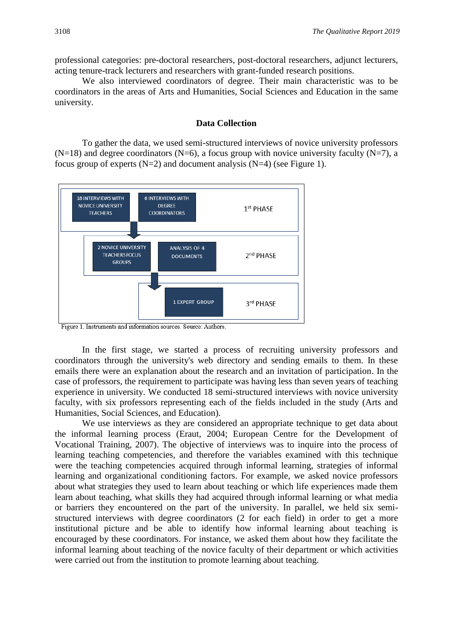professional categories: pre-doctoral researchers, post-doctoral researchers, adjunct lecturers, acting tenure-track lecturers and researchers with grant-funded research positions.

We also interviewed coordinators of degree. Their main characteristic was to be coordinators in the areas of Arts and Humanities, Social Sciences and Education in the same university.

## **Data Collection**

To gather the data, we used semi-structured interviews of novice university professors  $(N=18)$  and degree coordinators  $(N=6)$ , a focus group with novice university faculty  $(N=7)$ , a focus group of experts  $(N=2)$  and document analysis  $(N=4)$  (see Figure 1).



Figure 1. Instruments and information sources. Source: Authors.

In the first stage, we started a process of recruiting university professors and coordinators through the university's web directory and sending emails to them. In these emails there were an explanation about the research and an invitation of participation. In the case of professors, the requirement to participate was having less than seven years of teaching experience in university. We conducted 18 semi-structured interviews with novice university faculty, with six professors representing each of the fields included in the study (Arts and Humanities, Social Sciences, and Education).

We use interviews as they are considered an appropriate technique to get data about the informal learning process (Eraut, 2004; European Centre for the Development of Vocational Training, 2007). The objective of interviews was to inquire into the process of learning teaching competencies, and therefore the variables examined with this technique were the teaching competencies acquired through informal learning, strategies of informal learning and organizational conditioning factors. For example, we asked novice professors about what strategies they used to learn about teaching or which life experiences made them learn about teaching, what skills they had acquired through informal learning or what media or barriers they encountered on the part of the university. In parallel, we held six semistructured interviews with degree coordinators (2 for each field) in order to get a more institutional picture and be able to identify how informal learning about teaching is encouraged by these coordinators. For instance, we asked them about how they facilitate the informal learning about teaching of the novice faculty of their department or which activities were carried out from the institution to promote learning about teaching.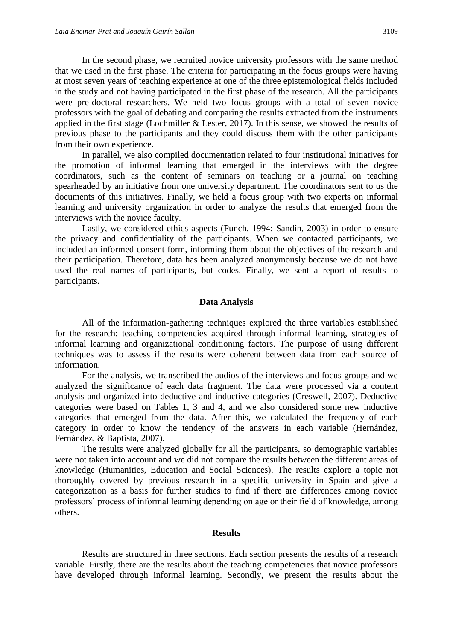In the second phase, we recruited novice university professors with the same method that we used in the first phase. The criteria for participating in the focus groups were having at most seven years of teaching experience at one of the three epistemological fields included in the study and not having participated in the first phase of the research. All the participants were pre-doctoral researchers. We held two focus groups with a total of seven novice professors with the goal of debating and comparing the results extracted from the instruments applied in the first stage (Lochmiller & Lester, 2017). In this sense, we showed the results of previous phase to the participants and they could discuss them with the other participants from their own experience.

In parallel, we also compiled documentation related to four institutional initiatives for the promotion of informal learning that emerged in the interviews with the degree coordinators, such as the content of seminars on teaching or a journal on teaching spearheaded by an initiative from one university department. The coordinators sent to us the documents of this initiatives. Finally, we held a focus group with two experts on informal learning and university organization in order to analyze the results that emerged from the interviews with the novice faculty.

Lastly, we considered ethics aspects (Punch, 1994; Sandín, 2003) in order to ensure the privacy and confidentiality of the participants. When we contacted participants, we included an informed consent form, informing them about the objectives of the research and their participation. Therefore, data has been analyzed anonymously because we do not have used the real names of participants, but codes. Finally, we sent a report of results to participants.

#### **Data Analysis**

All of the information-gathering techniques explored the three variables established for the research: teaching competencies acquired through informal learning, strategies of informal learning and organizational conditioning factors. The purpose of using different techniques was to assess if the results were coherent between data from each source of information.

For the analysis, we transcribed the audios of the interviews and focus groups and we analyzed the significance of each data fragment. The data were processed via a content analysis and organized into deductive and inductive categories (Creswell, 2007). Deductive categories were based on Tables 1, 3 and 4, and we also considered some new inductive categories that emerged from the data. After this, we calculated the frequency of each category in order to know the tendency of the answers in each variable (Hernández, Fernández, & Baptista, 2007).

The results were analyzed globally for all the participants, so demographic variables were not taken into account and we did not compare the results between the different areas of knowledge (Humanities, Education and Social Sciences). The results explore a topic not thoroughly covered by previous research in a specific university in Spain and give a categorization as a basis for further studies to find if there are differences among novice professors' process of informal learning depending on age or their field of knowledge, among others.

#### **Results**

Results are structured in three sections. Each section presents the results of a research variable. Firstly, there are the results about the teaching competencies that novice professors have developed through informal learning. Secondly, we present the results about the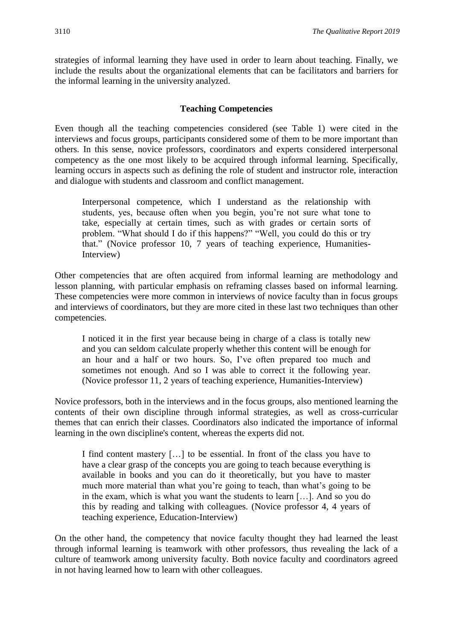strategies of informal learning they have used in order to learn about teaching. Finally, we include the results about the organizational elements that can be facilitators and barriers for the informal learning in the university analyzed.

## **Teaching Competencies**

Even though all the teaching competencies considered (see Table 1) were cited in the interviews and focus groups, participants considered some of them to be more important than others. In this sense, novice professors, coordinators and experts considered interpersonal competency as the one most likely to be acquired through informal learning. Specifically, learning occurs in aspects such as defining the role of student and instructor role, interaction and dialogue with students and classroom and conflict management.

Interpersonal competence, which I understand as the relationship with students, yes, because often when you begin, you're not sure what tone to take, especially at certain times, such as with grades or certain sorts of problem. "What should I do if this happens?" "Well, you could do this or try that." (Novice professor 10, 7 years of teaching experience, Humanities-Interview)

Other competencies that are often acquired from informal learning are methodology and lesson planning, with particular emphasis on reframing classes based on informal learning. These competencies were more common in interviews of novice faculty than in focus groups and interviews of coordinators, but they are more cited in these last two techniques than other competencies.

I noticed it in the first year because being in charge of a class is totally new and you can seldom calculate properly whether this content will be enough for an hour and a half or two hours. So, I've often prepared too much and sometimes not enough. And so I was able to correct it the following year. (Novice professor 11, 2 years of teaching experience, Humanities-Interview)

Novice professors, both in the interviews and in the focus groups, also mentioned learning the contents of their own discipline through informal strategies, as well as cross-curricular themes that can enrich their classes. Coordinators also indicated the importance of informal learning in the own discipline's content, whereas the experts did not.

I find content mastery […] to be essential. In front of the class you have to have a clear grasp of the concepts you are going to teach because everything is available in books and you can do it theoretically, but you have to master much more material than what you're going to teach, than what's going to be in the exam, which is what you want the students to learn […]. And so you do this by reading and talking with colleagues. (Novice professor 4, 4 years of teaching experience, Education-Interview)

On the other hand, the competency that novice faculty thought they had learned the least through informal learning is teamwork with other professors, thus revealing the lack of a culture of teamwork among university faculty. Both novice faculty and coordinators agreed in not having learned how to learn with other colleagues.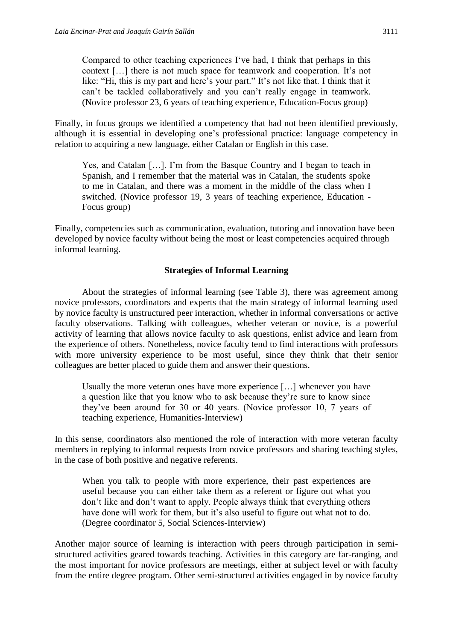Compared to other teaching experiences I've had, I think that perhaps in this context […] there is not much space for teamwork and cooperation. It's not like: "Hi, this is my part and here's your part." It's not like that. I think that it can't be tackled collaboratively and you can't really engage in teamwork. (Novice professor 23, 6 years of teaching experience, Education-Focus group)

Finally, in focus groups we identified a competency that had not been identified previously, although it is essential in developing one's professional practice: language competency in relation to acquiring a new language, either Catalan or English in this case.

Yes, and Catalan […]. I'm from the Basque Country and I began to teach in Spanish, and I remember that the material was in Catalan, the students spoke to me in Catalan, and there was a moment in the middle of the class when I switched. (Novice professor 19, 3 years of teaching experience, Education - Focus group)

Finally, competencies such as communication, evaluation, tutoring and innovation have been developed by novice faculty without being the most or least competencies acquired through informal learning.

## **Strategies of Informal Learning**

About the strategies of informal learning (see Table 3), there was agreement among novice professors, coordinators and experts that the main strategy of informal learning used by novice faculty is unstructured peer interaction, whether in informal conversations or active faculty observations. Talking with colleagues, whether veteran or novice, is a powerful activity of learning that allows novice faculty to ask questions, enlist advice and learn from the experience of others. Nonetheless, novice faculty tend to find interactions with professors with more university experience to be most useful, since they think that their senior colleagues are better placed to guide them and answer their questions.

Usually the more veteran ones have more experience […] whenever you have a question like that you know who to ask because they're sure to know since they've been around for 30 or 40 years. (Novice professor 10, 7 years of teaching experience, Humanities-Interview)

In this sense, coordinators also mentioned the role of interaction with more veteran faculty members in replying to informal requests from novice professors and sharing teaching styles, in the case of both positive and negative referents.

When you talk to people with more experience, their past experiences are useful because you can either take them as a referent or figure out what you don't like and don't want to apply. People always think that everything others have done will work for them, but it's also useful to figure out what not to do. (Degree coordinator 5, Social Sciences-Interview)

Another major source of learning is interaction with peers through participation in semistructured activities geared towards teaching. Activities in this category are far-ranging, and the most important for novice professors are meetings, either at subject level or with faculty from the entire degree program. Other semi-structured activities engaged in by novice faculty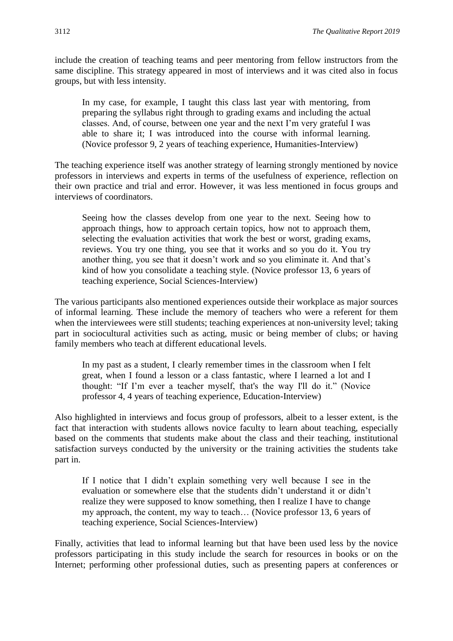include the creation of teaching teams and peer mentoring from fellow instructors from the same discipline. This strategy appeared in most of interviews and it was cited also in focus groups, but with less intensity.

In my case, for example, I taught this class last year with mentoring, from preparing the syllabus right through to grading exams and including the actual classes. And, of course, between one year and the next I'm very grateful I was able to share it; I was introduced into the course with informal learning. (Novice professor 9, 2 years of teaching experience, Humanities-Interview)

The teaching experience itself was another strategy of learning strongly mentioned by novice professors in interviews and experts in terms of the usefulness of experience, reflection on their own practice and trial and error. However, it was less mentioned in focus groups and interviews of coordinators.

Seeing how the classes develop from one year to the next. Seeing how to approach things, how to approach certain topics, how not to approach them, selecting the evaluation activities that work the best or worst, grading exams, reviews. You try one thing, you see that it works and so you do it. You try another thing, you see that it doesn't work and so you eliminate it. And that's kind of how you consolidate a teaching style. (Novice professor 13, 6 years of teaching experience, Social Sciences-Interview)

The various participants also mentioned experiences outside their workplace as major sources of informal learning. These include the memory of teachers who were a referent for them when the interviewees were still students; teaching experiences at non-university level; taking part in sociocultural activities such as acting, music or being member of clubs; or having family members who teach at different educational levels.

In my past as a student, I clearly remember times in the classroom when I felt great, when I found a lesson or a class fantastic, where I learned a lot and I thought: "If I'm ever a teacher myself, that's the way I'll do it." (Novice professor 4, 4 years of teaching experience, Education-Interview)

Also highlighted in interviews and focus group of professors, albeit to a lesser extent, is the fact that interaction with students allows novice faculty to learn about teaching, especially based on the comments that students make about the class and their teaching, institutional satisfaction surveys conducted by the university or the training activities the students take part in.

If I notice that I didn't explain something very well because I see in the evaluation or somewhere else that the students didn't understand it or didn't realize they were supposed to know something, then I realize I have to change my approach, the content, my way to teach… (Novice professor 13, 6 years of teaching experience, Social Sciences-Interview)

Finally, activities that lead to informal learning but that have been used less by the novice professors participating in this study include the search for resources in books or on the Internet; performing other professional duties, such as presenting papers at conferences or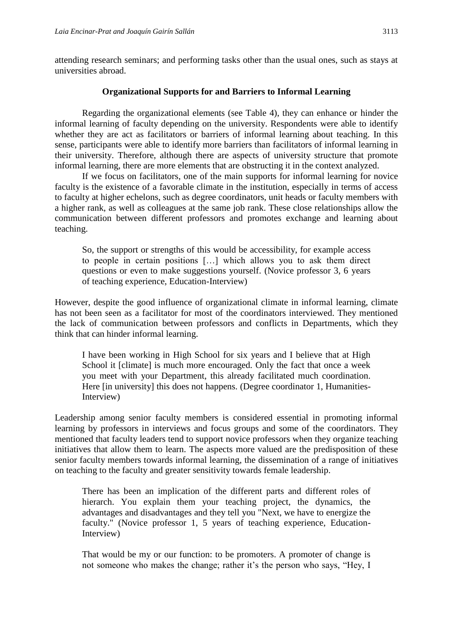attending research seminars; and performing tasks other than the usual ones, such as stays at universities abroad.

## **Organizational Supports for and Barriers to Informal Learning**

Regarding the organizational elements (see Table 4), they can enhance or hinder the informal learning of faculty depending on the university. Respondents were able to identify whether they are act as facilitators or barriers of informal learning about teaching. In this sense, participants were able to identify more barriers than facilitators of informal learning in their university. Therefore, although there are aspects of university structure that promote informal learning, there are more elements that are obstructing it in the context analyzed.

If we focus on facilitators, one of the main supports for informal learning for novice faculty is the existence of a favorable climate in the institution, especially in terms of access to faculty at higher echelons, such as degree coordinators, unit heads or faculty members with a higher rank, as well as colleagues at the same job rank. These close relationships allow the communication between different professors and promotes exchange and learning about teaching.

So, the support or strengths of this would be accessibility, for example access to people in certain positions […] which allows you to ask them direct questions or even to make suggestions yourself. (Novice professor 3, 6 years of teaching experience, Education-Interview)

However, despite the good influence of organizational climate in informal learning, climate has not been seen as a facilitator for most of the coordinators interviewed. They mentioned the lack of communication between professors and conflicts in Departments, which they think that can hinder informal learning.

I have been working in High School for six years and I believe that at High School it [climate] is much more encouraged. Only the fact that once a week you meet with your Department, this already facilitated much coordination. Here [in university] this does not happens. (Degree coordinator 1, Humanities-Interview)

Leadership among senior faculty members is considered essential in promoting informal learning by professors in interviews and focus groups and some of the coordinators. They mentioned that faculty leaders tend to support novice professors when they organize teaching initiatives that allow them to learn. The aspects more valued are the predisposition of these senior faculty members towards informal learning, the dissemination of a range of initiatives on teaching to the faculty and greater sensitivity towards female leadership.

There has been an implication of the different parts and different roles of hierarch. You explain them your teaching project, the dynamics, the advantages and disadvantages and they tell you "Next, we have to energize the faculty." (Novice professor 1, 5 years of teaching experience, Education-Interview)

That would be my or our function: to be promoters. A promoter of change is not someone who makes the change; rather it's the person who says, "Hey, I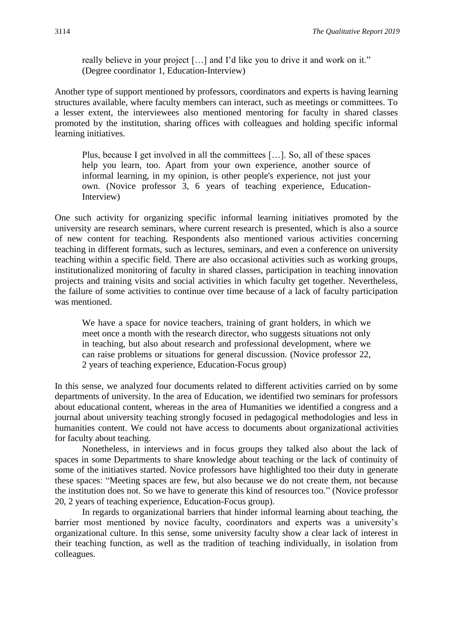really believe in your project […] and I'd like you to drive it and work on it." (Degree coordinator 1, Education-Interview)

Another type of support mentioned by professors, coordinators and experts is having learning structures available, where faculty members can interact, such as meetings or committees. To a lesser extent, the interviewees also mentioned mentoring for faculty in shared classes promoted by the institution, sharing offices with colleagues and holding specific informal learning initiatives.

Plus, because I get involved in all the committees […]. So, all of these spaces help you learn, too. Apart from your own experience, another source of informal learning, in my opinion, is other people's experience, not just your own. (Novice professor 3, 6 years of teaching experience, Education-Interview)

One such activity for organizing specific informal learning initiatives promoted by the university are research seminars, where current research is presented, which is also a source of new content for teaching. Respondents also mentioned various activities concerning teaching in different formats, such as lectures, seminars, and even a conference on university teaching within a specific field. There are also occasional activities such as working groups, institutionalized monitoring of faculty in shared classes, participation in teaching innovation projects and training visits and social activities in which faculty get together. Nevertheless, the failure of some activities to continue over time because of a lack of faculty participation was mentioned.

We have a space for novice teachers, training of grant holders, in which we meet once a month with the research director, who suggests situations not only in teaching, but also about research and professional development, where we can raise problems or situations for general discussion. (Novice professor 22, 2 years of teaching experience, Education-Focus group)

In this sense, we analyzed four documents related to different activities carried on by some departments of university. In the area of Education, we identified two seminars for professors about educational content, whereas in the area of Humanities we identified a congress and a journal about university teaching strongly focused in pedagogical methodologies and less in humanities content. We could not have access to documents about organizational activities for faculty about teaching.

Nonetheless, in interviews and in focus groups they talked also about the lack of spaces in some Departments to share knowledge about teaching or the lack of continuity of some of the initiatives started. Novice professors have highlighted too their duty in generate these spaces: "Meeting spaces are few, but also because we do not create them, not because the institution does not. So we have to generate this kind of resources too." (Novice professor 20, 2 years of teaching experience, Education-Focus group).

In regards to organizational barriers that hinder informal learning about teaching, the barrier most mentioned by novice faculty, coordinators and experts was a university's organizational culture. In this sense, some university faculty show a clear lack of interest in their teaching function, as well as the tradition of teaching individually, in isolation from colleagues.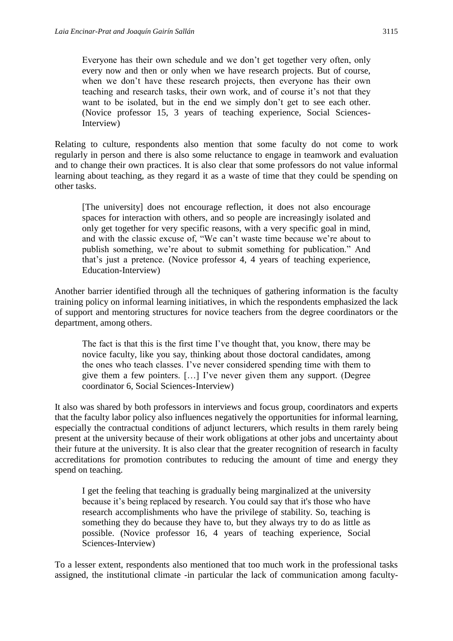Everyone has their own schedule and we don't get together very often, only every now and then or only when we have research projects. But of course, when we don't have these research projects, then everyone has their own teaching and research tasks, their own work, and of course it's not that they want to be isolated, but in the end we simply don't get to see each other. (Novice professor 15, 3 years of teaching experience, Social Sciences-Interview)

Relating to culture, respondents also mention that some faculty do not come to work regularly in person and there is also some reluctance to engage in teamwork and evaluation and to change their own practices. It is also clear that some professors do not value informal learning about teaching, as they regard it as a waste of time that they could be spending on other tasks.

[The university] does not encourage reflection, it does not also encourage spaces for interaction with others, and so people are increasingly isolated and only get together for very specific reasons, with a very specific goal in mind, and with the classic excuse of, "We can't waste time because we're about to publish something, we're about to submit something for publication." And that's just a pretence. (Novice professor 4, 4 years of teaching experience, Education-Interview)

Another barrier identified through all the techniques of gathering information is the faculty training policy on informal learning initiatives, in which the respondents emphasized the lack of support and mentoring structures for novice teachers from the degree coordinators or the department, among others.

The fact is that this is the first time I've thought that, you know, there may be novice faculty, like you say, thinking about those doctoral candidates, among the ones who teach classes. I've never considered spending time with them to give them a few pointers. […] I've never given them any support. (Degree coordinator 6, Social Sciences-Interview)

It also was shared by both professors in interviews and focus group, coordinators and experts that the faculty labor policy also influences negatively the opportunities for informal learning, especially the contractual conditions of adjunct lecturers, which results in them rarely being present at the university because of their work obligations at other jobs and uncertainty about their future at the university. It is also clear that the greater recognition of research in faculty accreditations for promotion contributes to reducing the amount of time and energy they spend on teaching.

I get the feeling that teaching is gradually being marginalized at the university because it's being replaced by research. You could say that it's those who have research accomplishments who have the privilege of stability. So, teaching is something they do because they have to, but they always try to do as little as possible. (Novice professor 16, 4 years of teaching experience, Social Sciences-Interview)

To a lesser extent, respondents also mentioned that too much work in the professional tasks assigned, the institutional climate -in particular the lack of communication among faculty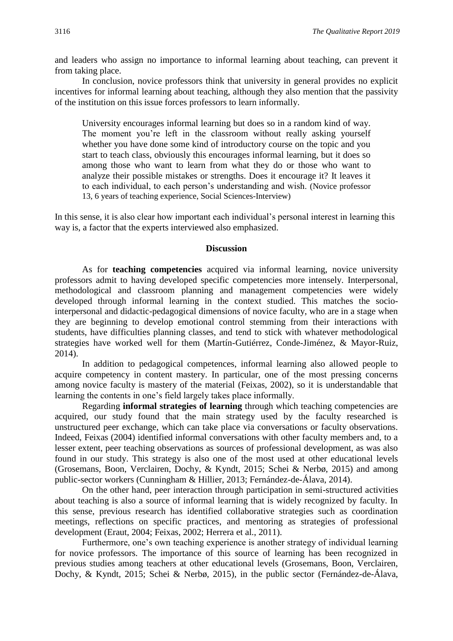and leaders who assign no importance to informal learning about teaching, can prevent it from taking place.

In conclusion, novice professors think that university in general provides no explicit incentives for informal learning about teaching, although they also mention that the passivity of the institution on this issue forces professors to learn informally.

University encourages informal learning but does so in a random kind of way. The moment you're left in the classroom without really asking yourself whether you have done some kind of introductory course on the topic and you start to teach class, obviously this encourages informal learning, but it does so among those who want to learn from what they do or those who want to analyze their possible mistakes or strengths. Does it encourage it? It leaves it to each individual, to each person's understanding and wish. (Novice professor 13, 6 years of teaching experience, Social Sciences-Interview)

In this sense, it is also clear how important each individual's personal interest in learning this way is, a factor that the experts interviewed also emphasized.

## **Discussion**

As for **teaching competencies** acquired via informal learning, novice university professors admit to having developed specific competencies more intensely. Interpersonal, methodological and classroom planning and management competencies were widely developed through informal learning in the context studied. This matches the sociointerpersonal and didactic-pedagogical dimensions of novice faculty, who are in a stage when they are beginning to develop emotional control stemming from their interactions with students, have difficulties planning classes, and tend to stick with whatever methodological strategies have worked well for them (Martín-Gutiérrez, Conde-Jiménez, & Mayor-Ruiz, 2014).

In addition to pedagogical competences, informal learning also allowed people to acquire competency in content mastery. In particular, one of the most pressing concerns among novice faculty is mastery of the material (Feixas, 2002), so it is understandable that learning the contents in one's field largely takes place informally.

Regarding **informal strategies of learning** through which teaching competencies are acquired, our study found that the main strategy used by the faculty researched is unstructured peer exchange, which can take place via conversations or faculty observations. Indeed, Feixas (2004) identified informal conversations with other faculty members and, to a lesser extent, peer teaching observations as sources of professional development, as was also found in our study. This strategy is also one of the most used at other educational levels (Grosemans, Boon, Verclairen, Dochy, & Kyndt, 2015; Schei & Nerbø, 2015) and among public-sector workers (Cunningham & Hillier, 2013; Fernández-de-Álava, 2014).

On the other hand, peer interaction through participation in semi-structured activities about teaching is also a source of informal learning that is widely recognized by faculty. In this sense, previous research has identified collaborative strategies such as coordination meetings, reflections on specific practices, and mentoring as strategies of professional development (Eraut, 2004; Feixas, 2002; Herrera et al., 2011).

Furthermore, one's own teaching experience is another strategy of individual learning for novice professors. The importance of this source of learning has been recognized in previous studies among teachers at other educational levels (Grosemans, Boon, Verclairen, Dochy, & Kyndt, 2015; Schei & Nerbø, 2015), in the public sector (Fernández-de-Álava,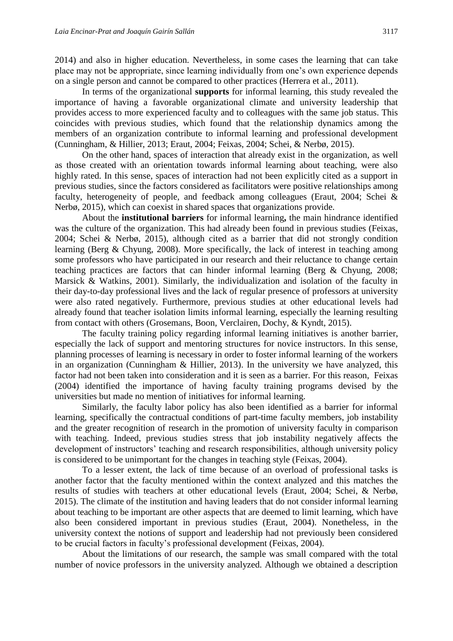2014) and also in higher education. Nevertheless, in some cases the learning that can take place may not be appropriate, since learning individually from one's own experience depends on a single person and cannot be compared to other practices (Herrera et al., 2011).

In terms of the organizational **supports** for informal learning, this study revealed the importance of having a favorable organizational climate and university leadership that provides access to more experienced faculty and to colleagues with the same job status. This coincides with previous studies, which found that the relationship dynamics among the members of an organization contribute to informal learning and professional development (Cunningham, & Hillier, 2013; Eraut, 2004; Feixas, 2004; Schei, & Nerbø, 2015).

On the other hand, spaces of interaction that already exist in the organization, as well as those created with an orientation towards informal learning about teaching, were also highly rated. In this sense, spaces of interaction had not been explicitly cited as a support in previous studies, since the factors considered as facilitators were positive relationships among faculty, heterogeneity of people, and feedback among colleagues (Eraut, 2004; Schei & Nerbø, 2015), which can coexist in shared spaces that organizations provide.

About the **institutional barriers** for informal learning**,** the main hindrance identified was the culture of the organization. This had already been found in previous studies (Feixas, 2004; Schei & Nerbø, 2015), although cited as a barrier that did not strongly condition learning (Berg & Chyung, 2008). More specifically, the lack of interest in teaching among some professors who have participated in our research and their reluctance to change certain teaching practices are factors that can hinder informal learning (Berg & Chyung, 2008; Marsick & Watkins, 2001). Similarly, the individualization and isolation of the faculty in their day-to-day professional lives and the lack of regular presence of professors at university were also rated negatively. Furthermore, previous studies at other educational levels had already found that teacher isolation limits informal learning, especially the learning resulting from contact with others (Grosemans, Boon, Verclairen, Dochy, & Kyndt, 2015).

The faculty training policy regarding informal learning initiatives is another barrier, especially the lack of support and mentoring structures for novice instructors. In this sense, planning processes of learning is necessary in order to foster informal learning of the workers in an organization (Cunningham & Hillier, 2013). In the university we have analyzed, this factor had not been taken into consideration and it is seen as a barrier. For this reason, Feixas (2004) identified the importance of having faculty training programs devised by the universities but made no mention of initiatives for informal learning.

Similarly, the faculty labor policy has also been identified as a barrier for informal learning, specifically the contractual conditions of part-time faculty members, job instability and the greater recognition of research in the promotion of university faculty in comparison with teaching. Indeed, previous studies stress that job instability negatively affects the development of instructors' teaching and research responsibilities, although university policy is considered to be unimportant for the changes in teaching style (Feixas, 2004).

To a lesser extent, the lack of time because of an overload of professional tasks is another factor that the faculty mentioned within the context analyzed and this matches the results of studies with teachers at other educational levels (Eraut, 2004; Schei, & Nerbø, 2015). The climate of the institution and having leaders that do not consider informal learning about teaching to be important are other aspects that are deemed to limit learning, which have also been considered important in previous studies (Eraut, 2004). Nonetheless, in the university context the notions of support and leadership had not previously been considered to be crucial factors in faculty's professional development (Feixas, 2004).

About the limitations of our research, the sample was small compared with the total number of novice professors in the university analyzed. Although we obtained a description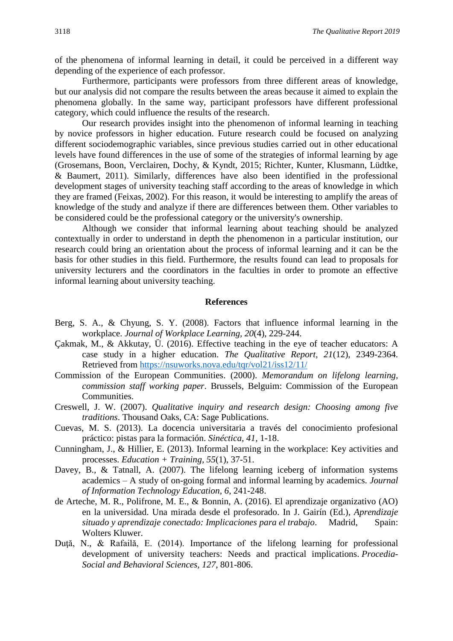of the phenomena of informal learning in detail, it could be perceived in a different way depending of the experience of each professor.

Furthermore, participants were professors from three different areas of knowledge, but our analysis did not compare the results between the areas because it aimed to explain the phenomena globally. In the same way, participant professors have different professional category, which could influence the results of the research.

Our research provides insight into the phenomenon of informal learning in teaching by novice professors in higher education. Future research could be focused on analyzing different sociodemographic variables, since previous studies carried out in other educational levels have found differences in the use of some of the strategies of informal learning by age (Grosemans, Boon, Verclairen, Dochy, & Kyndt, 2015; Richter, Kunter, Klusmann, Lüdtke, & Baumert, 2011). Similarly, differences have also been identified in the professional development stages of university teaching staff according to the areas of knowledge in which they are framed (Feixas, 2002). For this reason, it would be interesting to amplify the areas of knowledge of the study and analyze if there are differences between them. Other variables to be considered could be the professional category or the university's ownership.

Although we consider that informal learning about teaching should be analyzed contextually in order to understand in depth the phenomenon in a particular institution, our research could bring an orientation about the process of informal learning and it can be the basis for other studies in this field. Furthermore, the results found can lead to proposals for university lecturers and the coordinators in the faculties in order to promote an effective informal learning about university teaching.

#### **References**

- Berg, S. A., & Chyung, S. Y. (2008). Factors that influence informal learning in the workplace. *Journal of Workplace Learning, 20*(4), 229-244.
- Çakmak, M., & Akkutay, Ü. (2016). Effective teaching in the eye of teacher educators: A case study in a higher education. *The Qualitative Report, 21*(12), 2349-2364. Retrieved from<https://nsuworks.nova.edu/tqr/vol21/iss12/11/>
- Commission of the European Communities. (2000). *Memorandum on lifelong learning, commission staff working paper*. Brussels, Belguim: Commission of the European Communities.
- Creswell, J. W. (2007). *Qualitative inquiry and research design: Choosing among five traditions*. Thousand Oaks, CA: Sage Publications.
- Cuevas, M. S. (2013). La docencia universitaria a través del conocimiento profesional práctico: pistas para la formación. *Sinéctica, 41*, 1-18.
- Cunningham, J., & Hillier, E. (2013). Informal learning in the workplace: Key activities and processes. *Education + Training, 55*(1), 37-51.
- Davey, B., & Tatnall, A. (2007). The lifelong learning iceberg of information systems academics – A study of on-going formal and informal learning by academics. *Journal of Information Technology Education*, *6*, 241-248.
- de Arteche, M. R., Polifrone, M. E., & Bonnin, A. (2016). El aprendizaje organizativo (AO) en la universidad. Una mirada desde el profesorado. In J. Gairín (Ed.), *Aprendizaje situado y aprendizaje conectado: Implicaciones para el trabajo*. Madrid, Spain: Wolters Kluwer.
- Duţă, N., & Rafailă, E. (2014). Importance of the lifelong learning for professional development of university teachers: Needs and practical implications. *Procedia-Social and Behavioral Sciences, 127*, 801-806.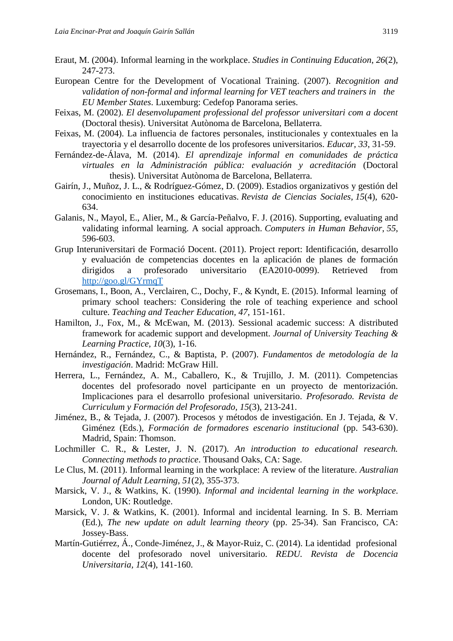- Eraut, M. (2004). Informal learning in the workplace. *Studies in Continuing Education*, *26*(2), 247-273.
- European Centre for the Development of Vocational Training. (2007). *Recognition and validation of non-formal and informal learning for VET teachers and trainers in the EU Member States*. Luxemburg: Cedefop Panorama series.
- Feixas, M. (2002). *El desenvolupament professional del professor universitari com a docent* (Doctoral thesis). Universitat Autònoma de Barcelona, Bellaterra.
- Feixas, M. (2004). La influencia de factores personales, institucionales y contextuales en la trayectoria y el desarrollo docente de los profesores universitarios. *Educar, 33*, 31-59.
- Fernández-de-Álava, M. (2014). *El aprendizaje informal en comunidades de práctica virtuales en la Administración pública: evaluación y acreditación* (Doctoral thesis). Universitat Autònoma de Barcelona, Bellaterra.
- Gairín, J., Muñoz, J. L., & Rodríguez-Gómez, D. (2009). Estadios organizativos y gestión del conocimiento en instituciones educativas. *Revista de Ciencias Sociales, 15*(4), 620- 634.
- Galanis, N., Mayol, E., Alier, M., & García-Peñalvo, F. J. (2016). Supporting, evaluating and validating informal learning. A social approach. *Computers in Human Behavior*, *55*, 596-603.
- Grup Interuniversitari de Formació Docent. (2011). Project report: Identificación, desarrollo y evaluación de competencias docentes en la aplicación de planes de formación dirigidos a profesorado universitario (EA2010-0099). Retrieved from <http://goo.gl/GYrmqT>
- Grosemans, I., Boon, A., Verclairen, C., Dochy, F., & Kyndt, E. (2015). Informal learning of primary school teachers: Considering the role of teaching experience and school culture. *Teaching and Teacher Education, 47*, 151-161.
- Hamilton, J., Fox, M., & McEwan, M. (2013). Sessional academic success: A distributed framework for academic support and development. *Journal of University Teaching & Learning Practice, 10*(3), 1-16.
- Hernández, R., Fernández, C., & Baptista, P. (2007). *Fundamentos de metodología de la investigación*. Madrid: McGraw Hill.
- Herrera, L., Fernández, A. M., Caballero, K., & Trujillo, J. M. (2011). Competencias docentes del profesorado novel participante en un proyecto de mentorización. Implicaciones para el desarrollo profesional universitario. *Profesorado. Revista de Curriculum y Formación del Profesorado, 15*(3), 213-241.
- Jiménez, B., & Tejada, J. (2007). Procesos y métodos de investigación. En J. Tejada, & V. Giménez (Eds.), *Formación de formadores escenario institucional* (pp. 543-630). Madrid, Spain: Thomson.
- Lochmiller C. R., & Lester, J. N. (2017). *An introduction to educational research. Connecting methods to practice*. Thousand Oaks, CA: Sage.
- Le Clus, M. (2011). Informal learning in the workplace: A review of the literature. *Australian Journal of Adult Learning*, *51*(2), 355-373.
- Marsick, V. J., & Watkins, K. (1990). *Informal and incidental learning in the workplace*. London, UK: Routledge.
- Marsick, V. J. & Watkins, K. (2001). Informal and incidental learning. In S. B. Merriam (Ed.), *The new update on adult learning theory* (pp. 25-34). San Francisco, CA: Jossey-Bass.
- Martín-Gutiérrez, Á., Conde-Jiménez, J., & Mayor-Ruiz, C. (2014). La identidad profesional docente del profesorado novel universitario. *REDU. Revista de Docencia Universitaria, 12*(4), 141-160.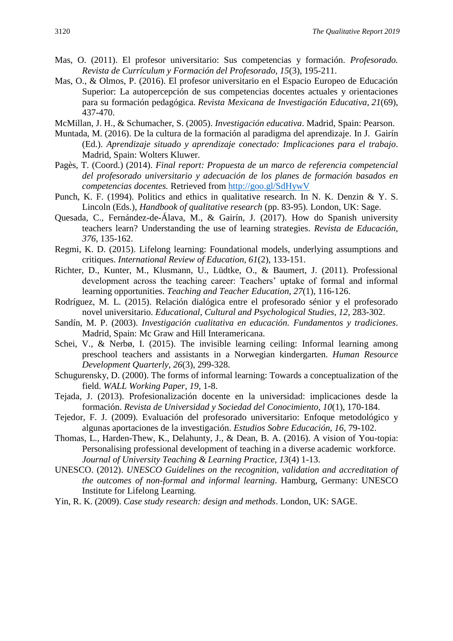- Mas, O. (2011). El profesor universitario: Sus competencias y formación. *Profesorado. Revista de Currículum y Formación del Profesorado, 15*(3), 195-211.
- Mas, O., & Olmos, P. (2016). El profesor universitario en el Espacio Europeo de Educación Superior: La autopercepción de sus competencias docentes actuales y orientaciones para su formación pedagógica. *Revista Mexicana de Investigación Educativa, 21*(69), 437-470.
- McMillan, J. H., & Schumacher, S. (2005). *Investigación educativa*. Madrid, Spain: Pearson.
- Muntada, M. (2016). De la cultura de la formación al paradigma del aprendizaje. In J. Gairín (Ed.). *Aprendizaje situado y aprendizaje conectado: Implicaciones para el trabajo*. Madrid, Spain: Wolters Kluwer.
- Pagès, T. (Coord.) (2014). *Final report: Propuesta de un marco de referencia competencial del profesorado universitario y adecuación de los planes de formación basados en competencias docentes.* Retrieved from<http://goo.gl/SdHywV>
- Punch, K. F. (1994). Politics and ethics in qualitative research. In N. K. Denzin & Y. S. Lincoln (Eds.), *Handbook of qualitative research* (pp. 83-95). London, UK: Sage.
- Quesada, C., Fernández-de-Álava, M., & Gairín, J. (2017). How do Spanish university teachers learn? Understanding the use of learning strategies. *Revista de Educación, 376*, 135-162.
- Regmi, K. D. (2015). Lifelong learning: Foundational models, underlying assumptions and critiques. *International Review of Education, 61*(2), 133-151.
- Richter, D., Kunter, M., Klusmann, U., Lüdtke, O., & Baumert, J. (2011). Professional development across the teaching career: Teachers' uptake of formal and informal learning opportunities. *Teaching and Teacher Education, 27*(1), 116-126.
- Rodríguez, M. L. (2015). Relación dialógica entre el profesorado sénior y el profesorado novel universitario. *Educational, Cultural and Psychological Studies, 12,* 283-302.
- Sandín, M. P. (2003). *Investigación cualitativa en educación. Fundamentos y tradiciones*. Madrid, Spain: Mc Graw and Hill Interamericana.
- Schei, V., & Nerbø, I. (2015). The invisible learning ceiling: Informal learning among preschool teachers and assistants in a Norwegian kindergarten. *Human Resource Development Quarterly*, *26*(3), 299-328.
- Schugurensky, D. (2000). The forms of informal learning: Towards a conceptualization of the field. *WALL Working Paper, 19,* 1-8.
- Tejada, J. (2013). Profesionalización docente en la universidad: implicaciones desde la formación. *Revista de Universidad y Sociedad del Conocimiento, 10*(1), 170-184.
- Tejedor, F. J. (2009). Evaluación del profesorado universitario: Enfoque metodológico y algunas aportaciones de la investigación. *Estudios Sobre Educación, 16*, 79-102.
- Thomas, L., Harden-Thew, K., Delahunty, J., & Dean, B. A. (2016). A vision of You-topia: Personalising professional development of teaching in a diverse academic workforce. *Journal of University Teaching & Learning Practice, 13*(4) 1-13.
- UNESCO. (2012). *UNESCO Guidelines on the recognition, validation and accreditation of the outcomes of non-formal and informal learning*. Hamburg, Germany: UNESCO Institute for Lifelong Learning.
- Yin, R. K. (2009). *Case study research: design and methods*. London, UK: SAGE.